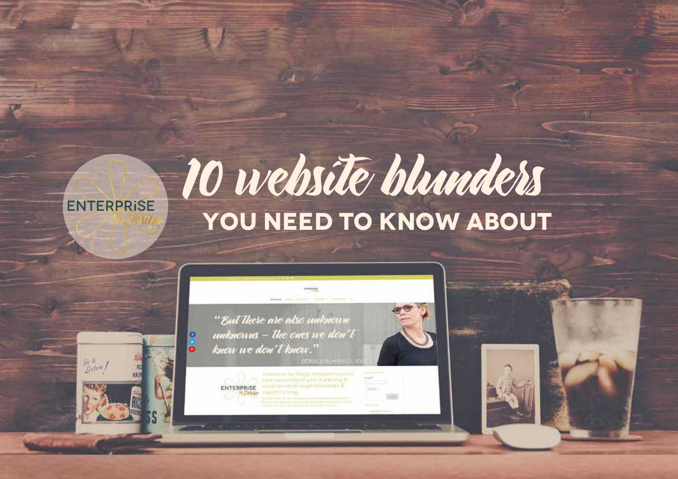# 10 website blunders  **YOU NEED TO KNOW ABOUT**



**ENTERPRISE** 

smual paints through showedge &

ENTERPRISE

 $\frac{Sh\cdot h}{Rsten}$ 

K Destad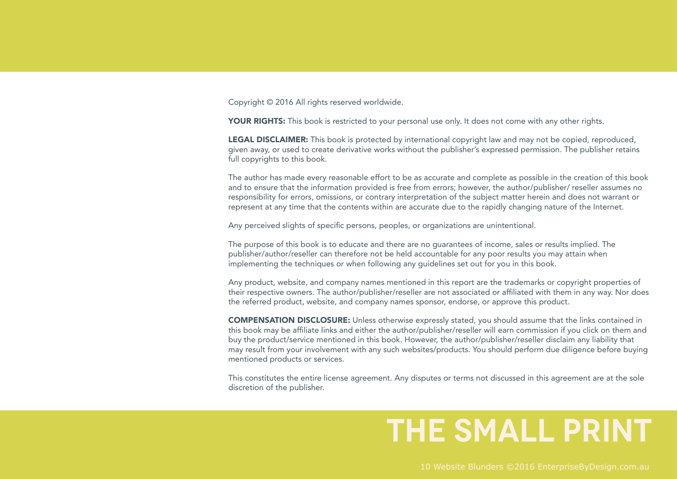Copyright © 2016 All rights reserved worldwide.

YOUR RIGHTS: This book is restricted to your personal use only. It does not come with any other rights.

**LEGAL DISCLAIMER:** This book is protected by international copyright law and may not be copied, reproduced, given away, or used to create derivative works without the publisher's expressed permission. The publisher retains full copyrights to this book.

The author has made every reasonable effort to be as accurate and complete as possible in the creation of this book and to ensure that the information provided is free from errors; however, the author/publisher/ reseller assumes no responsibility for errors, omissions, or contrary interpretation of the subject matter herein and does not warrant or represent at any time that the contents within are accurate due to the rapidly changing nature of the Internet.

Any perceived slights of specific persons, peoples, or organizations are unintentional.

The purpose of this book is to educate and there are no guarantees of income, sales or results implied. The publisher/author/reseller can therefore not be held accountable for any poor results you may attain when implementing the techniques or when following any guidelines set out for you in this book.

Any product, website, and company names mentioned in this report are the trademarks or copyright properties of their respective owners. The author/publisher/reseller are not associated or affiliated with them in any way. Nor does the referred product, website, and company names sponsor, endorse, or approve this product.

COMPENSATION DISCLOSURE: Unless otherwise expressly stated, you should assume that the links contained in this book may be affiliate links and either the author/publisher/reseller will earn commission if you click on them and buy the product/service mentioned in this book. However, the author/publisher/reseller disclaim any liability that may result from your involvement with any such websites/products. You should perform due diligence before buying mentioned products or services.

This constitutes the entire license agreement. Any disputes or terms not discussed in this agreement are at the sole discretion of the publisher.

#### **the small print**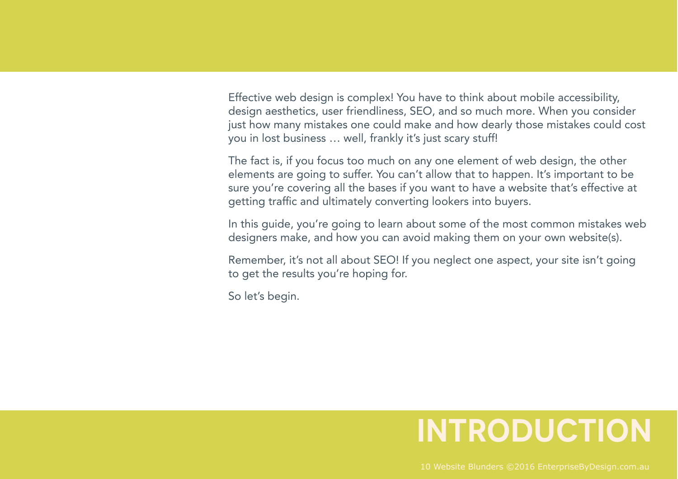Effective web design is complex! You have to think about mobile accessibility, design aesthetics, user friendliness, SEO, and so much more. When you consider just how many mistakes one could make and how dearly those mistakes could cost you in lost business … well, frankly it's just scary stuff!

The fact is, if you focus too much on any one element of web design, the other elements are going to suffer. You can't allow that to happen. It's important to be sure you're covering all the bases if you want to have a website that's effective at getting traffic and ultimately converting lookers into buyers.

In this guide, you're going to learn about some of the most common mistakes web designers make, and how you can avoid making them on your own website(s).

Remember, it's not all about SEO! If you neglect one aspect, your site isn't going to get the results you're hoping for.

So let's begin.

#### **Introduction**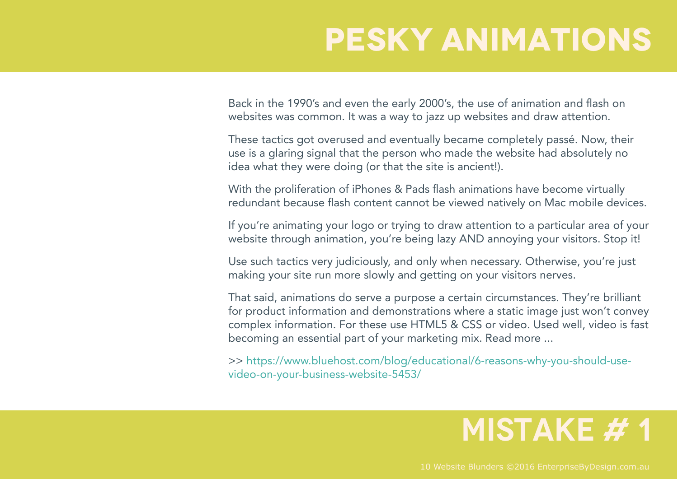## **PESKY ANIMATIONS**

Back in the 1990's and even the early 2000's, the use of animation and flash on websites was common. It was a way to jazz up websites and draw attention.

These tactics got overused and eventually became completely passé. Now, their use is a glaring signal that the person who made the website had absolutely no idea what they were doing (or that the site is ancient!).

With the proliferation of iPhones & Pads flash animations have become virtually redundant because flash content cannot be viewed natively on Mac mobile devices.

If you're animating your logo or trying to draw attention to a particular area of your website through animation, you're being lazy AND annoying your visitors. Stop it!

Use such tactics very judiciously, and only when necessary. Otherwise, you're just making your site run more slowly and getting on your visitors nerves.

That said, animations do serve a purpose a certain circumstances. They're brilliant for product information and demonstrations where a static image just won't convey complex information. For these use HTML5 & CSS or video. Used well, video is fast becoming an essential part of your marketing mix. Read more ...

>> https://www.bluehost.com/blog/educational/6-reasons-why-you-should-usevideo-on-your-business-website-5453/

#### **MISTAKE #1**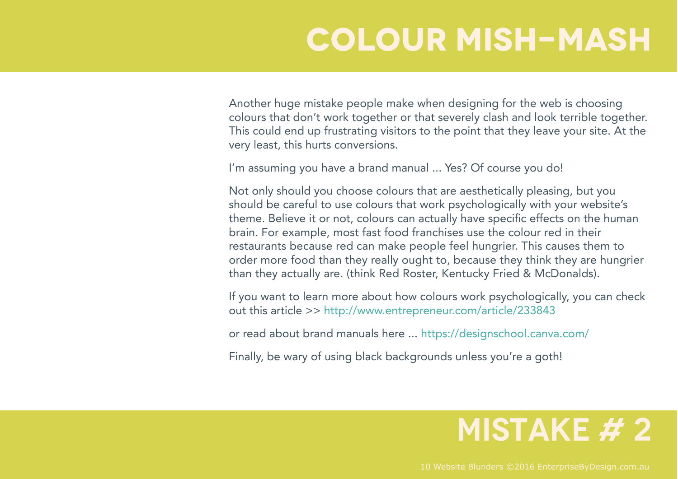## **COLOUR MISH-MASH**

Another huge mistake people make when designing for the web is choosing colours that don't work together or that severely clash and look terrible together. This could end up frustrating visitors to the point that they leave your site. At the very least, this hurts conversions.

I'm assuming you have a brand manual ... Yes? Of course you do!

Not only should you choose colours that are aesthetically pleasing, but you should be careful to use colours that work psychologically with your website's theme. Believe it or not, colours can actually have specific effects on the human brain. For example, most fast food franchises use the colour red in their restaurants because red can make people feel hungrier. This causes them to order more food than they really ought to, because they think they are hungrier than they actually are. (think Red Roster, Kentucky Fried & McDonalds).

If you want to learn more about how colours work psychologically, you can check out this article >> http://www.entrepreneur.com/article/233843

or read about brand manuals here ... https://designschool.canva.com/

Finally, be wary of using black backgrounds unless you're a goth!

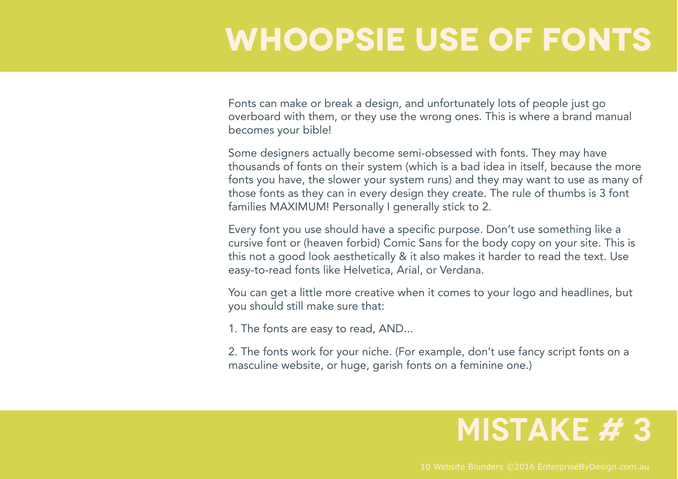## **WHOOPSIE USE OF FontS**

Fonts can make or break a design, and unfortunately lots of people just go overboard with them, or they use the wrong ones. This is where a brand manual becomes your bible!

Some designers actually become semi-obsessed with fonts. They may have thousands of fonts on their system (which is a bad idea in itself, because the more fonts you have, the slower your system runs) and they may want to use as many of those fonts as they can in every design they create. The rule of thumbs is 3 font families MAXIMUM! Personally I generally stick to 2.

Every font you use should have a specific purpose. Don't use something like a cursive font or (heaven forbid) Comic Sans for the body copy on your site. This is this not a good look aesthetically & it also makes it harder to read the text. Use easy-to-read fonts like Helvetica, Arial, or Verdana.

You can get a little more creative when it comes to your logo and headlines, but you should still make sure that:

1. The fonts are easy to read, AND...

2. The fonts work for your niche. (For example, don't use fancy script fonts on a masculine website, or huge, garish fonts on a feminine one.)

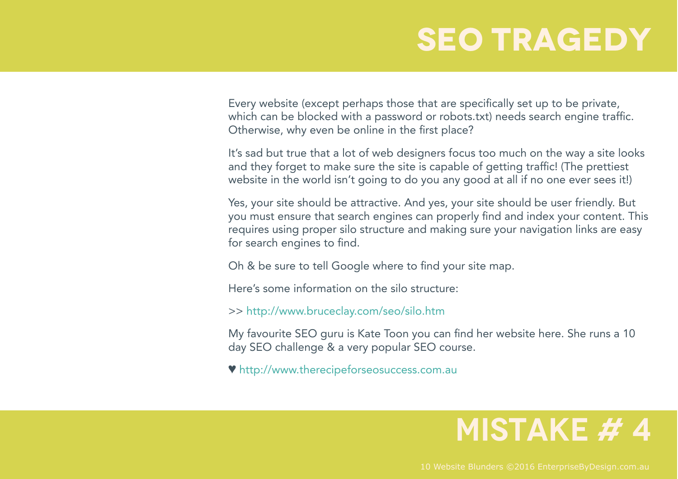### **SEO TRAGEDY**

Every website (except perhaps those that are specifically set up to be private, which can be blocked with a password or robots.txt) needs search engine traffic. Otherwise, why even be online in the first place?

It's sad but true that a lot of web designers focus too much on the way a site looks and they forget to make sure the site is capable of getting traffic! (The prettiest website in the world isn't going to do you any good at all if no one ever sees it!)

Yes, your site should be attractive. And yes, your site should be user friendly. But you must ensure that search engines can properly find and index your content. This requires using proper silo structure and making sure your navigation links are easy for search engines to find.

Oh & be sure to tell Google where to find your site map.

Here's some information on the silo structure:

>> http://www.bruceclay.com/seo/silo.htm

My favourite SEO guru is Kate Toon you can find her website here. She runs a 10 day SEO challenge & a very popular SEO course.

♥ http://www.therecipeforseosuccess.com.au

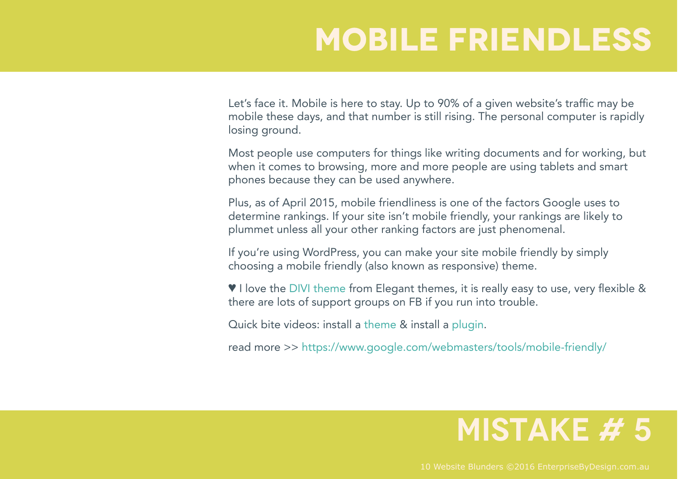## **Mobile FriendlESS**

Let's face it. Mobile is here to stay. Up to 90% of a given website's traffic may be mobile these days, and that number is still rising. The personal computer is rapidly losing ground.

Most people use computers for things like writing documents and for working, but when it comes to browsing, more and more people are using tablets and smart phones because they can be used anywhere.

Plus, as of April 2015, mobile friendliness is one of the factors Google uses to determine rankings. If your site isn't mobile friendly, your rankings are likely to plummet unless all your other ranking factors are just phenomenal.

If you're using WordPress, you can make your site mobile friendly by simply choosing a mobile friendly (also known as responsive) theme.

♥ I love the DIVI theme from Elegant themes, it is really easy to use, very flexible & there are lots of support groups on FB if you run into trouble.

Quick bite videos: install a theme & install a plugin.

read more >> https://www.google.com/webmasters/tools/mobile-friendly/

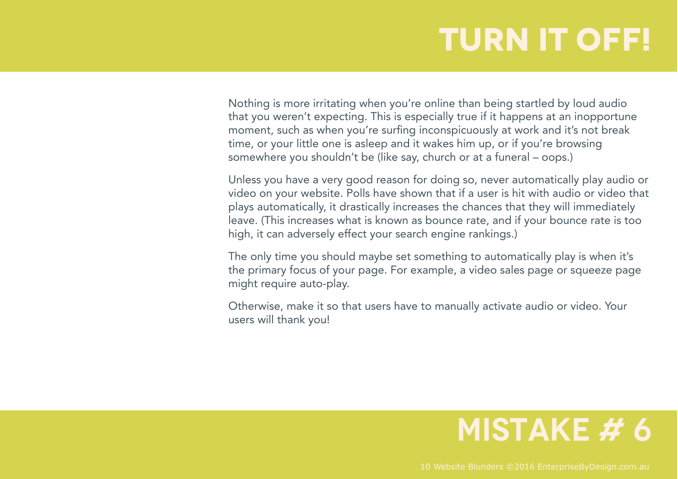## **TURN IT OFF!**

Nothing is more irritating when you're online than being startled by loud audio that you weren't expecting. This is especially true if it happens at an inopportune moment, such as when you're surfing inconspicuously at work and it's not break time, or your little one is asleep and it wakes him up, or if you're browsing somewhere you shouldn't be (like say, church or at a funeral – oops.)

Unless you have a very good reason for doing so, never automatically play audio or video on your website. Polls have shown that if a user is hit with audio or video that plays automatically, it drastically increases the chances that they will immediately leave. (This increases what is known as bounce rate, and if your bounce rate is too high, it can adversely effect your search engine rankings.)

The only time you should maybe set something to automatically play is when it's the primary focus of your page. For example, a video sales page or squeeze page might require auto-play.

Otherwise, make it so that users have to manually activate audio or video. Your users will thank you!

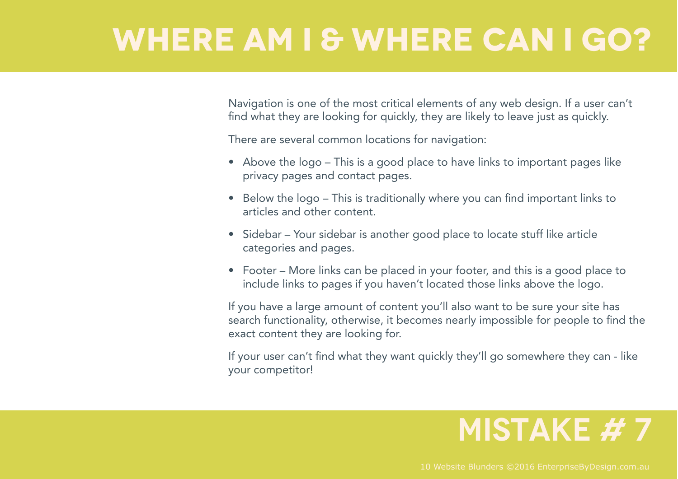## **WHERE AM I & WHERE CAN I GO?**

Navigation is one of the most critical elements of any web design. If a user can't find what they are looking for quickly, they are likely to leave just as quickly.

There are several common locations for navigation:

- Above the logo This is a good place to have links to important pages like privacy pages and contact pages.
- Below the logo This is traditionally where you can find important links to articles and other content.
- Sidebar Your sidebar is another good place to locate stuff like article categories and pages.
- Footer More links can be placed in your footer, and this is a good place to include links to pages if you haven't located those links above the logo.

If you have a large amount of content you'll also want to be sure your site has search functionality, otherwise, it becomes nearly impossible for people to find the exact content they are looking for.

If your user can't find what they want quickly they'll go somewhere they can - like your competitor!

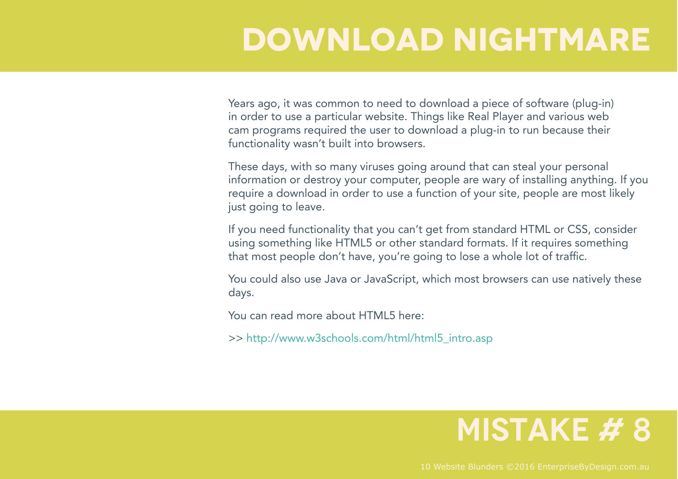## **Download NighTmare**

Years ago, it was common to need to download a piece of software (plug-in) in order to use a particular website. Things like Real Player and various web cam programs required the user to download a plug-in to run because their functionality wasn't built into browsers.

These days, with so many viruses going around that can steal your personal information or destroy your computer, people are wary of installing anything. If you require a download in order to use a function of your site, people are most likely just going to leave.

If you need functionality that you can't get from standard HTML or CSS, consider using something like HTML5 or other standard formats. If it requires something that most people don't have, you're going to lose a whole lot of traffic.

You could also use Java or JavaScript, which most browsers can use natively these days.

You can read more about HTML5 here:

>> http://www.w3schools.com/html/html5\_intro.asp

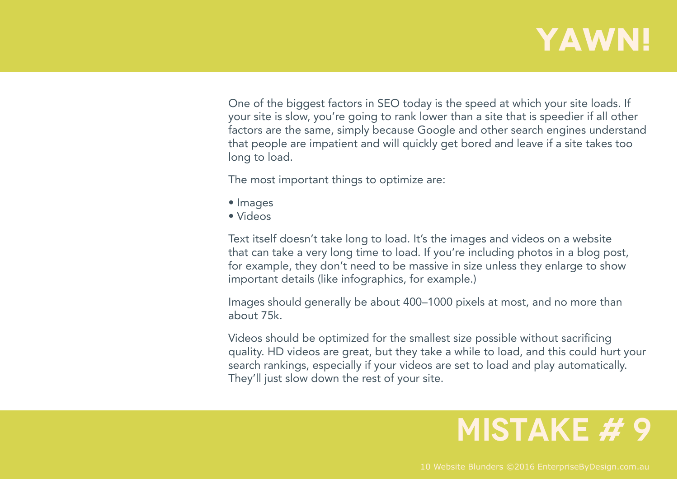### **YAWN!**

One of the biggest factors in SEO today is the speed at which your site loads. If your site is slow, you're going to rank lower than a site that is speedier if all other factors are the same, simply because Google and other search engines understand that people are impatient and will quickly get bored and leave if a site takes too long to load.

The most important things to optimize are:

- Images
- Videos

Text itself doesn't take long to load. It's the images and videos on a website that can take a very long time to load. If you're including photos in a blog post, for example, they don't need to be massive in size unless they enlarge to show important details (like infographics, for example.)

Images should generally be about 400–1000 pixels at most, and no more than about 75k.

Videos should be optimized for the smallest size possible without sacrificing quality. HD videos are great, but they take a while to load, and this could hurt your search rankings, especially if your videos are set to load and play automatically. They'll just slow down the rest of your site.

#### **MISTAKE # 9**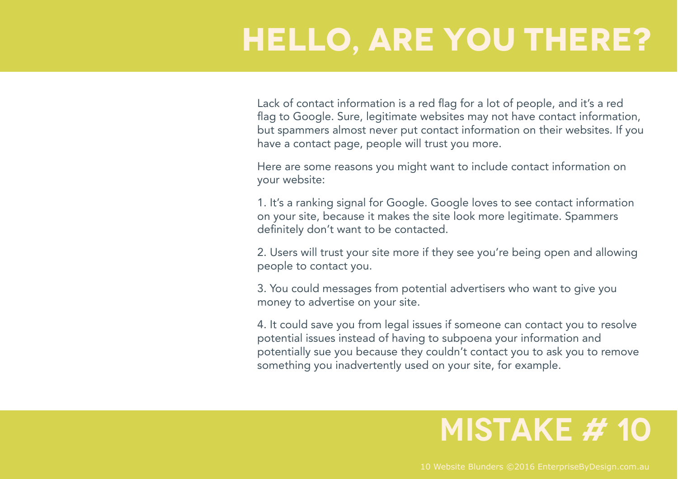## **HELLO, ARE YOU THERE?**

Lack of contact information is a red flag for a lot of people, and it's a red flag to Google. Sure, legitimate websites may not have contact information, but spammers almost never put contact information on their websites. If you have a contact page, people will trust you more.

Here are some reasons you might want to include contact information on your website:

1. It's a ranking signal for Google. Google loves to see contact information on your site, because it makes the site look more legitimate. Spammers definitely don't want to be contacted.

2. Users will trust your site more if they see you're being open and allowing people to contact you.

3. You could messages from potential advertisers who want to give you money to advertise on your site.

4. It could save you from legal issues if someone can contact you to resolve potential issues instead of having to subpoena your information and potentially sue you because they couldn't contact you to ask you to remove something you inadvertently used on your site, for example.

#### **MISTAKE # 10**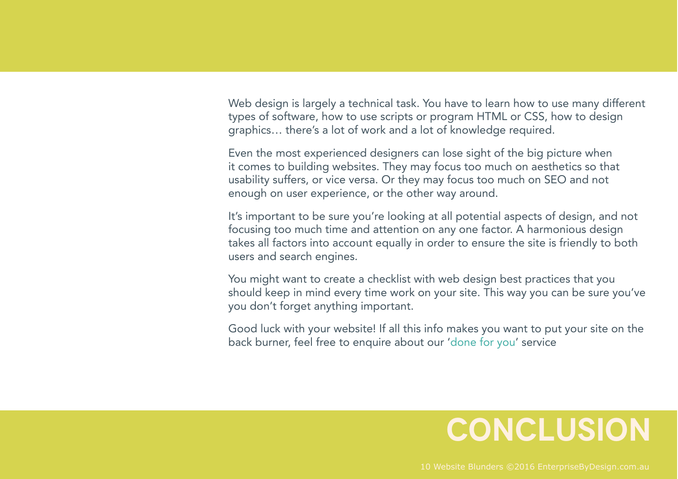Web design is largely a technical task. You have to learn how to use many different types of software, how to use scripts or program HTML or CSS, how to design graphics… there's a lot of work and a lot of knowledge required.

Even the most experienced designers can lose sight of the big picture when it comes to building websites. They may focus too much on aesthetics so that usability suffers, or vice versa. Or they may focus too much on SEO and not enough on user experience, or the other way around.

It's important to be sure you're looking at all potential aspects of design, and not focusing too much time and attention on any one factor. A harmonious design takes all factors into account equally in order to ensure the site is friendly to both users and search engines.

You might want to create a checklist with web design best practices that you should keep in mind every time work on your site. This way you can be sure you've you don't forget anything important.

Good luck with your website! If all this info makes you want to put your site on the back burner, feel free to enquire about our 'done for you' service

#### **CONCLUSION**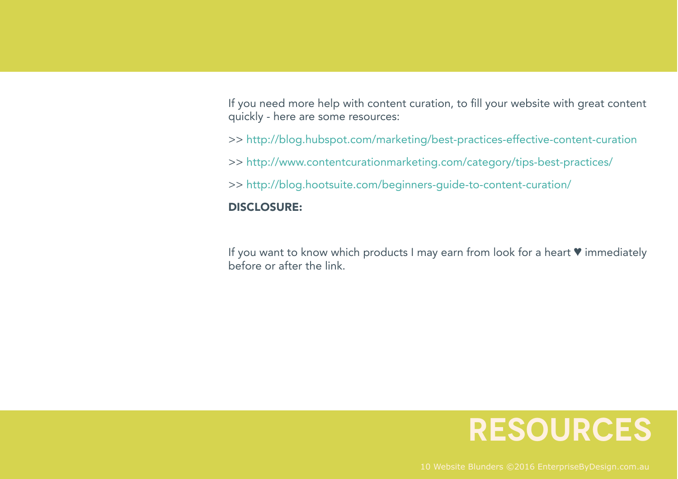If you need more help with content curation, to fill your website with great content quickly - here are some resources:

>> http://blog.hubspot.com/marketing/best-practices-effective-content-curation

>> http://www.contentcurationmarketing.com/category/tips-best-practices/

>> http://blog.hootsuite.com/beginners-guide-to-content-curation/

#### DISCLOSURE:

If you want to know which products I may earn from look for a heart ♥ immediately before or after the link.